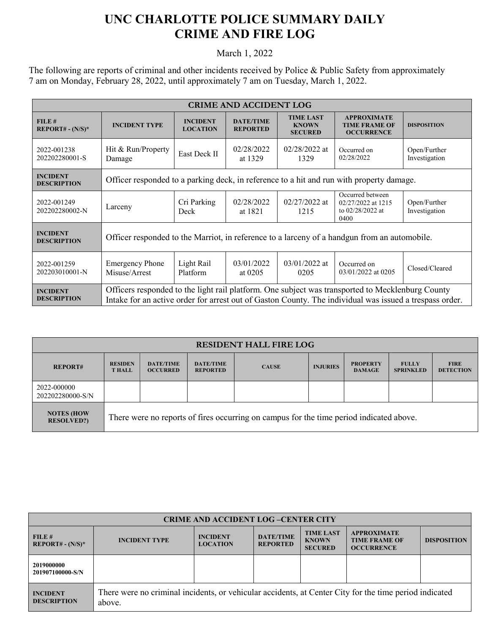## **UNC CHARLOTTE POLICE SUMMARY DAILY CRIME AND FIRE LOG**

March 1, 2022

The following are reports of criminal and other incidents received by Police & Public Safety from approximately 7 am on Monday, February 28, 2022, until approximately 7 am on Tuesday, March 1, 2022.

| <b>CRIME AND ACCIDENT LOG</b>         |                                                                                                                                                                                                             |                                    |                                     |                                                    |                                                                      |                               |  |  |
|---------------------------------------|-------------------------------------------------------------------------------------------------------------------------------------------------------------------------------------------------------------|------------------------------------|-------------------------------------|----------------------------------------------------|----------------------------------------------------------------------|-------------------------------|--|--|
| FILE#<br>$REPORT# - (N/S)*$           | <b>INCIDENT TYPE</b>                                                                                                                                                                                        | <b>INCIDENT</b><br><b>LOCATION</b> | <b>DATE/TIME</b><br><b>REPORTED</b> | <b>TIME LAST</b><br><b>KNOWN</b><br><b>SECURED</b> | <b>APPROXIMATE</b><br><b>TIME FRAME OF</b><br><b>OCCURRENCE</b>      | <b>DISPOSITION</b>            |  |  |
| 2022-001238<br>202202280001-S         | Hit & Run/Property<br>Damage                                                                                                                                                                                | East Deck II                       | 02/28/2022<br>at 1329               | $02/28/2022$ at<br>1329                            | Occurred on<br>02/28/2022                                            | Open/Further<br>Investigation |  |  |
| <b>INCIDENT</b><br><b>DESCRIPTION</b> | Officer responded to a parking deck, in reference to a hit and run with property damage.                                                                                                                    |                                    |                                     |                                                    |                                                                      |                               |  |  |
| 2022-001249<br>202202280002-N         | Larceny                                                                                                                                                                                                     | Cri Parking<br>Deck                | 02/28/2022<br>at 1821               | $02/27/2022$ at<br>1215                            | Occurred between<br>02/27/2022 at 1215<br>to $02/28/2022$ at<br>0400 | Open/Further<br>Investigation |  |  |
| <b>INCIDENT</b><br><b>DESCRIPTION</b> | Officer responded to the Marriot, in reference to a larceny of a handgun from an automobile.                                                                                                                |                                    |                                     |                                                    |                                                                      |                               |  |  |
| 2022-001259<br>202203010001-N         | <b>Emergency Phone</b><br>Misuse/Arrest                                                                                                                                                                     | Light Rail<br>Platform             | 03/01/2022<br>at $0205$             | $03/01/2022$ at<br>0205                            | Occurred on<br>$03/01/2022$ at 0205                                  | Closed/Cleared                |  |  |
| <b>INCIDENT</b><br><b>DESCRIPTION</b> | Officers responded to the light rail platform. One subject was transported to Mecklenburg County<br>Intake for an active order for arrest out of Gaston County. The individual was issued a trespass order. |                                    |                                     |                                                    |                                                                      |                               |  |  |

| <b>RESIDENT HALL FIRE LOG</b>          |                                                                                         |                                     |                                     |              |                 |                                  |                                  |                                 |
|----------------------------------------|-----------------------------------------------------------------------------------------|-------------------------------------|-------------------------------------|--------------|-----------------|----------------------------------|----------------------------------|---------------------------------|
| <b>REPORT#</b>                         | <b>RESIDEN</b><br><b>THALL</b>                                                          | <b>DATE/TIME</b><br><b>OCCURRED</b> | <b>DATE/TIME</b><br><b>REPORTED</b> | <b>CAUSE</b> | <b>INJURIES</b> | <b>PROPERTY</b><br><b>DAMAGE</b> | <b>FULLY</b><br><b>SPRINKLED</b> | <b>FIRE</b><br><b>DETECTION</b> |
| 2022-000000<br>202202280000-S/N        |                                                                                         |                                     |                                     |              |                 |                                  |                                  |                                 |
| <b>NOTES (HOW</b><br><b>RESOLVED?)</b> | There were no reports of fires occurring on campus for the time period indicated above. |                                     |                                     |              |                 |                                  |                                  |                                 |

| <b>CRIME AND ACCIDENT LOG-CENTER CITY</b> |                                                                                                                  |                                    |                                     |                                                    |                                                                 |                    |  |
|-------------------------------------------|------------------------------------------------------------------------------------------------------------------|------------------------------------|-------------------------------------|----------------------------------------------------|-----------------------------------------------------------------|--------------------|--|
| FILE#<br>$REPORT# - (N/S)*$               | <b>INCIDENT TYPE</b>                                                                                             | <b>INCIDENT</b><br><b>LOCATION</b> | <b>DATE/TIME</b><br><b>REPORTED</b> | <b>TIME LAST</b><br><b>KNOWN</b><br><b>SECURED</b> | <b>APPROXIMATE</b><br><b>TIME FRAME OF</b><br><b>OCCURRENCE</b> | <b>DISPOSITION</b> |  |
| 2019000000<br>201907100000-S/N            |                                                                                                                  |                                    |                                     |                                                    |                                                                 |                    |  |
| <b>INCIDENT</b><br><b>DESCRIPTION</b>     | There were no criminal incidents, or vehicular accidents, at Center City for the time period indicated<br>above. |                                    |                                     |                                                    |                                                                 |                    |  |